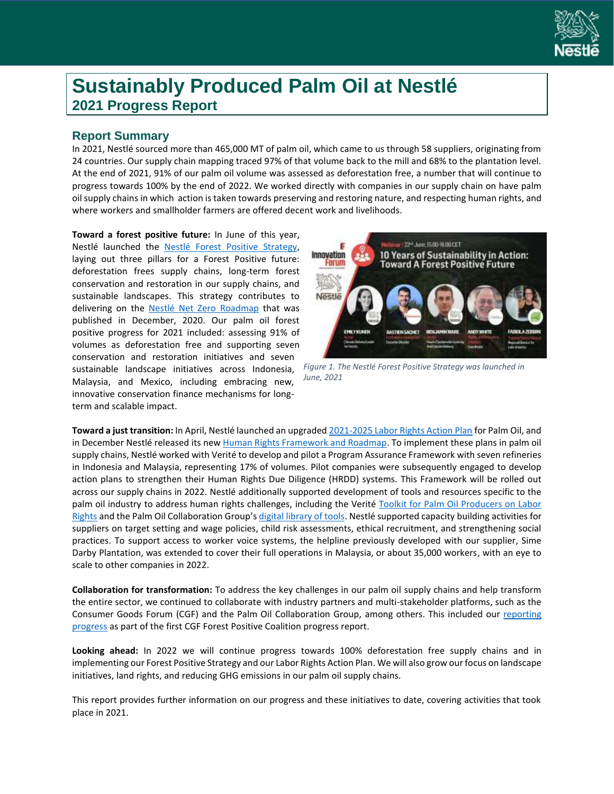

# **Sustainably Produced Palm Oil at Nestlé 2021 Progress Report**

# **Report Summary**

In 2021, Nestlé sourced more than 465,000 MT of palm oil, which came to us through 58 suppliers, originating from 24 countries. Our supply chain mapping traced 97% of that volume back to the mill and 68% to the plantation level. At the end of 2021, 91% of our palm oil volume was assessed as deforestation free, a number that will continue to progress towards 100% by the end of 2022. We worked directly with companies in our supply chain on have palm oil supply chains in which action is taken towards preserving and restoring nature, and respecting human rights, and where workers and smallholder farmers are offered decent work and livelihoods.

**Toward a forest positive future:** In June of this year, Nestlé launched the Nestlé [Forest Positive Strategy,](https://www.nestle.com/sites/default/files/2021-06/nestle-towards-forest-positive-future-report.pdf)  laying out three pillars for a Forest Positive future: deforestation frees supply chains, long-term forest conservation and restoration in our supply chains, and sustainable landscapes. This strategy contributes to delivering on the Nestlé Net Zero [Roadmap](https://www.nestle.com/sites/default/files/2020-12/nestle-net-zero-roadmap-en.pdf) that was published in December, 2020. Our palm oil forest positive progress for 2021 included: assessing 91% of volumes as deforestation free and supporting seven conservation and restoration initiatives and seven sustainable landscape initiatives across Indonesia, Malaysia, and Mexico, including embracing new, innovative conservation finance mechanisms for longterm and scalable impact.



*Figure 1. The Nestlé Forest Positive Strategy was launched in June, 2021*

**Toward a just transition:** In April, Nestlé launched an upgrade[d 2021-2025 Labor Rights Action Plan](https://www.nestle.com/media/news/nestle-plan-help-protect-labor-rights-palm-oil-sector) for Palm Oil, and in December Nestlé released its ne[w Human Rights Framework and Roadmap.](https://www.nestle.com/sites/default/files/2021-12/nestle-human-rights-framework-roadmap.pdf) To implement these plans in palm oil supply chains, Nestlé worked with Verité to develop and pilot a Program Assurance Framework with seven refineries in Indonesia and Malaysia, representing 17% of volumes. Pilot companies were subsequently engaged to develop action plans to strengthen their Human Rights Due Diligence (HRDD) systems. This Framework will be rolled out across our supply chains in 2022. Nestlé additionally supported development of tools and resources specific to the palm oil industry to address human rights challenges, including the Verité [Toolkit for Palm Oil Producers on Labor](https://www.verite.org/resources/our-work-in-palm-oil/palm-oil-toolkit/)  [Rights](https://www.verite.org/resources/our-work-in-palm-oil/palm-oil-toolkit/) and the Palm Oil Collaboration Group's [digital library of tools.](https://palmoilcollaborationgroup.net/hrdd-library-of-tools) Nestlé supported capacity building activities for suppliers on target setting and wage policies, child risk assessments, ethical recruitment, and strengthening social practices. To support access to worker voice systems, the helpline previously developed with our supplier, Sime Darby Plantation, was extended to cover their full operations in Malaysia, or about 35,000 workers, with an eye to scale to other companies in 2022.

**Collaboration for transformation:** To address the key challenges in our palm oil supply chains and help transform the entire sector, we continued to collaborate with industry partners and multi-stakeholder platforms, such as the Consumer Goods Forum (CGF) and the Palm Oil Collaboration Group, among others. This included our [reporting](https://www.theconsumergoodsforum.com/wp-content/uploads/2021/09/CGF-FPC-Annual-Report-2021.pdf)  [progress](https://www.theconsumergoodsforum.com/wp-content/uploads/2021/09/CGF-FPC-Annual-Report-2021.pdf) as part of the first CGF Forest Positive Coalition progress report.

**Looking ahead:** In 2022 we will continue progress towards 100% deforestation free supply chains and in implementing our Forest Positive Strategy and our Labor Rights Action Plan. We will also grow our focus on landscape initiatives, land rights, and reducing GHG emissions in our palm oil supply chains.

This report provides further information on our progress and these initiatives to date, covering activities that took place in 2021.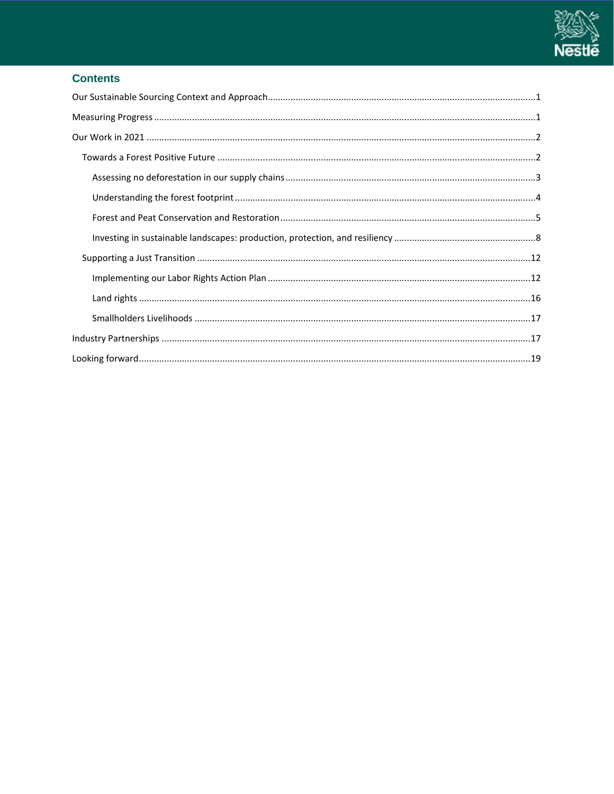

# **Contents**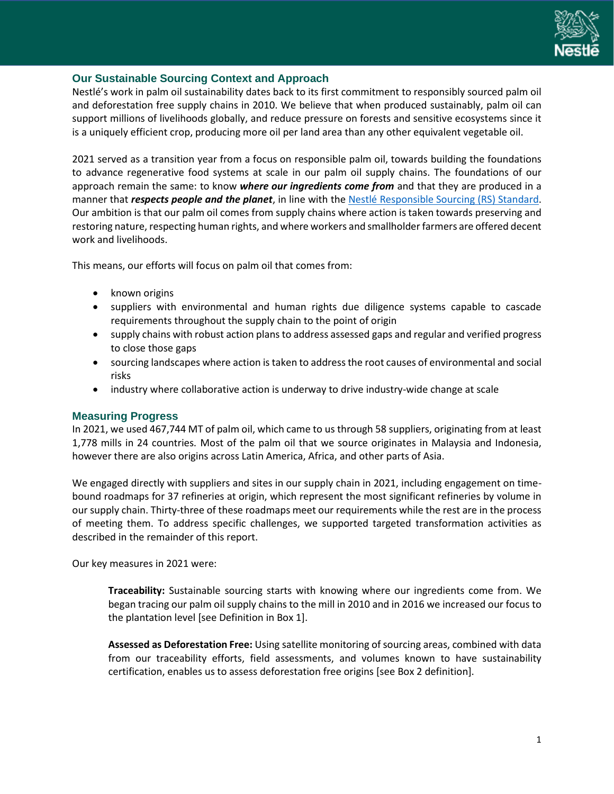

#### <span id="page-2-0"></span>**Our Sustainable Sourcing Context and Approach**

Nestlé's work in palm oil sustainability dates back to its first commitment to responsibly sourced palm oil and deforestation free supply chains in 2010. We believe that when produced sustainably, palm oil can support millions of livelihoods globally, and reduce pressure on forests and sensitive ecosystems since it is a uniquely efficient crop, producing more oil per land area than any other equivalent vegetable oil.

2021 served as a transition year from a focus on responsible palm oil, towards building the foundations to advance regenerative food systems at scale in our palm oil supply chains. The foundations of our approach remain the same: to know *where our ingredients come from* and that they are produced in a manner that *respects people and the planet*, in line with the [Nestlé Responsible Sourcing \(RS\) Standard.](https://www.nestle.com/asset-library/documents/library/documents/suppliers/nestle-responsible-sourcing-standard-english.pdf) Our ambition is that our palm oil comes from supply chains where action is taken towards preserving and restoring nature, respecting human rights, and where workers and smallholder farmers are offered decent work and livelihoods.

This means, our efforts will focus on palm oil that comes from:

- known origins
- suppliers with environmental and human rights due diligence systems capable to cascade requirements throughout the supply chain to the point of origin
- supply chains with robust action plans to address assessed gaps and regular and verified progress to close those gaps
- sourcing landscapes where action is taken to address the root causes of environmental and social risks
- industry where collaborative action is underway to drive industry-wide change at scale

#### <span id="page-2-1"></span>**Measuring Progress**

In 2021, we used 467,744 MT of palm oil, which came to us through 58 suppliers, originating from at least 1,778 mills in 24 countries. Most of the palm oil that we source originates in Malaysia and Indonesia, however there are also origins across Latin America, Africa, and other parts of Asia.

We engaged directly with suppliers and sites in our supply chain in 2021, including engagement on timebound roadmaps for 37 refineries at origin, which represent the most significant refineries by volume in our supply chain. Thirty-three of these roadmaps meet our requirements while the rest are in the process of meeting them. To address specific challenges, we supported targeted transformation activities as described in the remainder of this report.

Our key measures in 2021 were:

**Traceability:** Sustainable sourcing starts with knowing where our ingredients come from. We began tracing our palm oil supply chains to the mill in 2010 and in 2016 we increased our focus to the plantation level [see Definition in Box 1].

**Assessed as Deforestation Free:** Using satellite monitoring of sourcing areas, combined with data from our traceability efforts, field assessments, and volumes known to have sustainability certification, enables us to assess deforestation free origins [see Box 2 definition].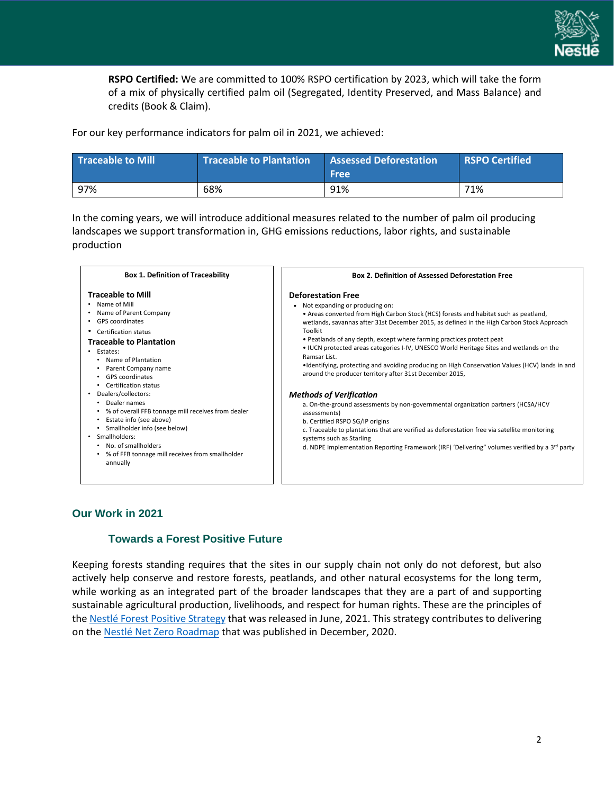

**RSPO Certified:** We are committed to 100% RSPO certification by 2023, which will take the form of a mix of physically certified palm oil (Segregated, Identity Preserved, and Mass Balance) and credits (Book & Claim).

For our key performance indicators for palm oil in 2021, we achieved:

| <b>Traceable to Mill</b> | <b>Traceable to Plantation</b> | <b>Assessed Deforestation</b><br><b>Free</b> | <b>RSPO Certified</b> |
|--------------------------|--------------------------------|----------------------------------------------|-----------------------|
| 97%                      | 68%                            | 91%                                          | 71%                   |

In the coming years, we will introduce additional measures related to the number of palm oil producing landscapes we support transformation in, GHG emissions reductions, labor rights, and sustainable production



#### <span id="page-3-1"></span><span id="page-3-0"></span>**Our Work in 2021**

#### **Towards a Forest Positive Future**

Keeping forests standing requires that the sites in our supply chain not only do not deforest, but also actively help conserve and restore forests, peatlands, and other natural ecosystems for the long term, while working as an integrated part of the broader landscapes that they are a part of and supporting sustainable agricultural production, livelihoods, and respect for human rights. These are the principles of the Nestlé [Forest Positive Strategy](https://www.nestle.com/sites/default/files/2021-06/nestle-towards-forest-positive-future-report.pdf) that was released in June, 2021. This strategy contributes to delivering on the Nestlé [Net Zero Roadmap](https://www.nestle.com/sites/default/files/2020-12/nestle-net-zero-roadmap-en.pdf) that was published in December, 2020.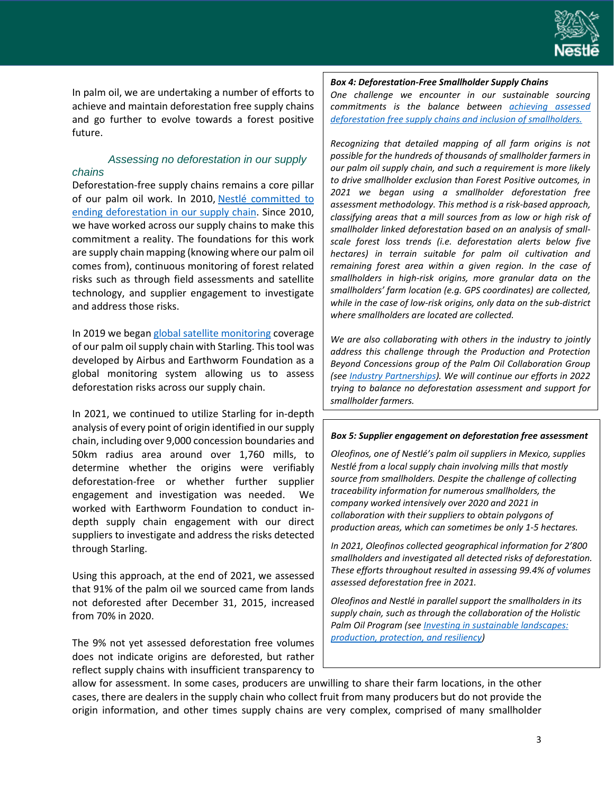

In palm oil, we are undertaking a number of efforts to achieve and maintain deforestation free supply chains and go further to evolve towards a forest positive future.

#### <span id="page-4-0"></span>*Assessing no deforestation in our supply chains*

Deforestation-free supply chains remains a core pillar of our palm oil work. In 2010, Nestlé committed to [ending deforestation in our supply chain.](https://www.nestle.com/asset-library/documents/library/documents/corporate_social_responsibility/commitment-on-deforestation-2013.pdf) Since 2010, we have worked across our supply chains to make this commitment a reality. The foundations for this work are supply chain mapping (knowing where our palm oil comes from), continuous monitoring of forest related risks such as through field assessments and satellite technology, and supplier engagement to investigate and address those risks.

In 2019 we began [global satellite monitoring](https://www.nestle.com/media/pressreleases/allpressreleases/no-deforestation-satellite-monitoring-coverage-palm-oil-supply-chains) coverage of our palm oil supply chain with Starling. This tool was developed by Airbus and Earthworm Foundation as a global monitoring system allowing us to assess deforestation risks across our supply chain.

In 2021, we continued to utilize Starling for in-depth analysis of every point of origin identified in our supply chain, including over 9,000 concession boundaries and 50km radius area around over 1,760 mills, to determine whether the origins were verifiably deforestation-free or whether further supplier engagement and investigation was needed. We worked with Earthworm Foundation to conduct indepth supply chain engagement with our direct suppliers to investigate and address the risks detected through Starling.

Using this approach, at the end of 2021, we assessed that 91% of the palm oil we sourced came from lands not deforested after December 31, 2015, increased from 70% in 2020.

The 9% not yet assessed deforestation free volumes does not indicate origins are deforested, but rather reflect supply chains with insufficient transparency to

#### *Box 4: Deforestation-Free Smallholder Supply Chains*

*One challenge we encounter in our sustainable sourcing commitments is the balance between [achieving assessed](https://www.nestle.com/beneath-the-surface) [deforestation free supply chains and inclusion of smallholders.](https://www.nestle.com/beneath-the-surface)*

*Recognizing that detailed mapping of all farm origins is not possible for the hundreds of thousands of smallholder farmers in our palm oil supply chain, and such a requirement is more likely to drive smallholder exclusion than Forest Positive outcomes, in 2021 we began using a smallholder deforestation free assessment methodology. This method is a risk-based approach, classifying areas that a mill sources from as low or high risk of smallholder linked deforestation based on an analysis of smallscale forest loss trends (i.e. deforestation alerts below five hectares) in terrain suitable for palm oil cultivation and remaining forest area within a given region. In the case of smallholders in high-risk origins, more granular data on the smallholders' farm location (e.g. GPS coordinates) are collected, while in the case of low-risk origins, only data on the sub-district where smallholders are located are collected.*

*We are also collaborating with others in the industry to jointly address this challenge through the Production and Protection Beyond Concessions group of the Palm Oil Collaboration Group (se[e Industry Partnerships\)](#page-18-1). We will continue our efforts in 2022 trying to balance no deforestation assessment and support for smallholder farmers.*

#### *Box 5: Supplier engagement on deforestation free assessment*

*Oleofinos, one of Nestlé's palm oil suppliers in Mexico, supplies Nestlé from a local supply chain involving mills that mostly source from smallholders. Despite the challenge of collecting traceability information for numerous smallholders, the company worked intensively over 2020 and 2021 in collaboration with their suppliers to obtain polygons of production areas, which can sometimes be only 1-5 hectares.* 

*In 2021, Oleofinos collected geographical information for 2'800 smallholders and investigated all detected risks of deforestation. These efforts throughout resulted in assessing 99.4% of volumes assessed deforestation free in 2021.*

*Oleofinos and Nestlé in parallel support the smallholders in its supply chain, such as through the collaboration of the Holistic Palm Oil Program (se[e Investing in sustainable landscapes:](#page-9-0)  [production, protection, and resiliency\)](#page-9-0)*

allow for assessment. In some cases, producers are unwilling to share their farm locations, in the other cases, there are dealers in the supply chain who collect fruit from many producers but do not provide the origin information, and other times supply chains are very complex, comprised of many smallholder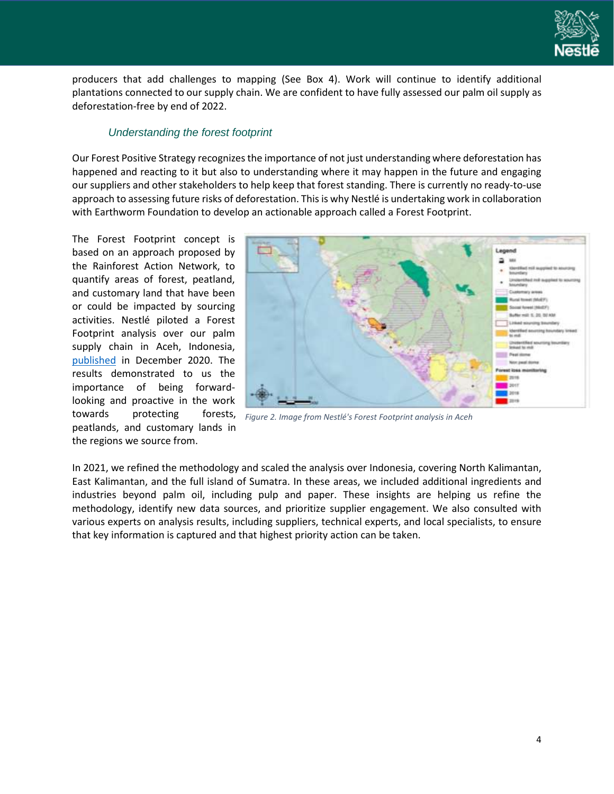

producers that add challenges to mapping (See Box 4). Work will continue to identify additional plantations connected to our supply chain. We are confident to have fully assessed our palm oil supply as deforestation-free by end of 2022.

#### *Understanding the forest footprint*

<span id="page-5-0"></span>Our Forest Positive Strategy recognizes the importance of not just understanding where deforestation has happened and reacting to it but also to understanding where it may happen in the future and engaging our suppliers and other stakeholders to help keep that forest standing. There is currently no ready-to-use approach to assessing future risks of deforestation. This is why Nestlé is undertaking work in collaboration with Earthworm Foundation to develop an actionable approach called a Forest Footprint.

The Forest Footprint concept is based on an approach proposed by the Rainforest Action Network, to quantify areas of forest, peatland, and customary land that have been or could be impacted by sourcing activities. Nestlé piloted a Forest Footprint analysis over our palm supply chain in Aceh, Indonesia, [published](https://www.nestle.com/stories/deforestation-learnings-forest-footprint-pilot-palm-oil-supply-chain) in December 2020. The results demonstrated to us the importance of being forwardlooking and proactive in the work towards protecting forests, peatlands, and customary lands in the regions we source from.



*Figure 2. Image from Nestlé's Forest Footprint analysis in Aceh*

In 2021, we refined the methodology and scaled the analysis over Indonesia, covering North Kalimantan, East Kalimantan, and the full island of Sumatra. In these areas, we included additional ingredients and industries beyond palm oil, including pulp and paper. These insights are helping us refine the methodology, identify new data sources, and prioritize supplier engagement. We also consulted with various experts on analysis results, including suppliers, technical experts, and local specialists, to ensure that key information is captured and that highest priority action can be taken.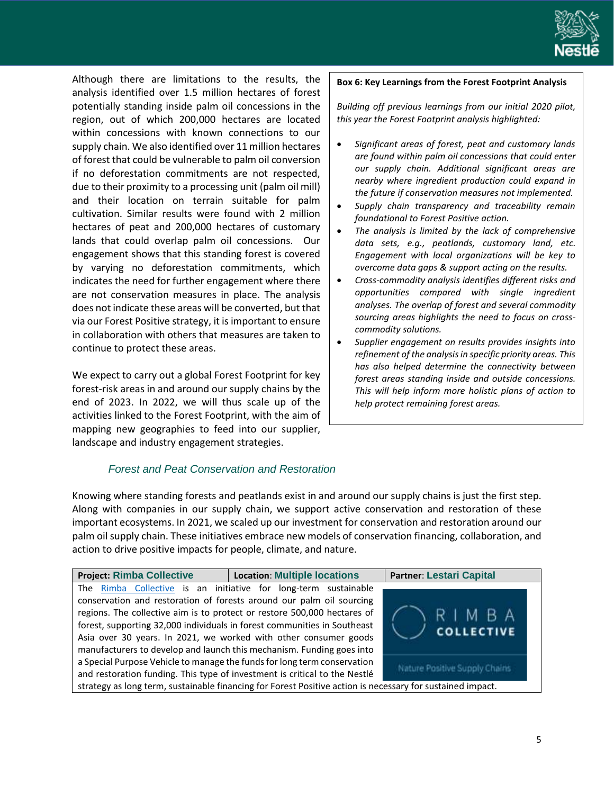

Although there are limitations to the results, the analysis identified over 1.5 million hectares of forest potentially standing inside palm oil concessions in the region, out of which 200,000 hectares are located within concessions with known connections to our supply chain. We also identified over 11 million hectares of forest that could be vulnerable to palm oil conversion if no deforestation commitments are not respected, due to their proximity to a processing unit (palm oil mill) and their location on terrain suitable for palm cultivation. Similar results were found with 2 million hectares of peat and 200,000 hectares of customary lands that could overlap palm oil concessions. Our engagement shows that this standing forest is covered by varying no deforestation commitments, which indicates the need for further engagement where there are not conservation measures in place. The analysis does not indicate these areas will be converted, but that via our Forest Positive strategy, it is important to ensure in collaboration with others that measures are taken to continue to protect these areas.

We expect to carry out a global Forest Footprint for key forest-risk areas in and around our supply chains by the end of 2023. In 2022, we will thus scale up of the activities linked to the Forest Footprint, with the aim of mapping new geographies to feed into our supplier, landscape and industry engagement strategies.

#### **Box 6: Key Learnings from the Forest Footprint Analysis**

*Building off previous learnings from our initial 2020 pilot, this year the Forest Footprint analysis highlighted:*

- *Significant areas of forest, peat and customary lands are found within palm oil concessions that could enter our supply chain. Additional significant areas are nearby where ingredient production could expand in the future if conservation measures not implemented.*
- *Supply chain transparency and traceability remain foundational to Forest Positive action.*
- *The analysis is limited by the lack of comprehensive data sets, e.g., peatlands, customary land, etc. Engagement with local organizations will be key to overcome data gaps & support acting on the results.*
- *Cross-commodity analysis identifies different risks and opportunities compared with single ingredient analyses. The overlap of forest and several commodity sourcing areas highlights the need to focus on crosscommodity solutions.*
- *Supplier engagement on results provides insights into refinement of the analysis in specific priority areas. This has also helped determine the connectivity between forest areas standing inside and outside concessions. This will help inform more holistic plans of action to help protect remaining forest areas.*

#### *Forest and Peat Conservation and Restoration*

<span id="page-6-0"></span>Knowing where standing forests and peatlands exist in and around our supply chains is just the first step. Along with companies in our supply chain, we support active conservation and restoration of these important ecosystems. In 2021, we scaled up our investment for conservation and restoration around our palm oil supply chain. These initiatives embrace new models of conservation financing, collaboration, and action to drive positive impacts for people, climate, and nature.

| <b>Project: Rimba Collective</b>                                           | <b>Location: Multiple locations</b>                                                                        | <b>Partner: Lestari Capital</b> |
|----------------------------------------------------------------------------|------------------------------------------------------------------------------------------------------------|---------------------------------|
| The Rimba Collective is an initiative for long-term sustainable            |                                                                                                            |                                 |
| conservation and restoration of forests around our palm oil sourcing       |                                                                                                            |                                 |
| regions. The collective aim is to protect or restore 500,000 hectares of   |                                                                                                            | RIMBA                           |
| forest, supporting 32,000 individuals in forest communities in Southeast   |                                                                                                            | <b>COLLECTIVE</b>               |
| Asia over 30 years. In 2021, we worked with other consumer goods           |                                                                                                            |                                 |
| manufacturers to develop and launch this mechanism. Funding goes into      |                                                                                                            |                                 |
| a Special Purpose Vehicle to manage the funds for long term conservation   |                                                                                                            |                                 |
| and restoration funding. This type of investment is critical to the Nestlé |                                                                                                            | Nature Positive Supply Chains   |
|                                                                            | strategy as long term, sustainable financing for Forest Positive action is necessary for sustained impact. |                                 |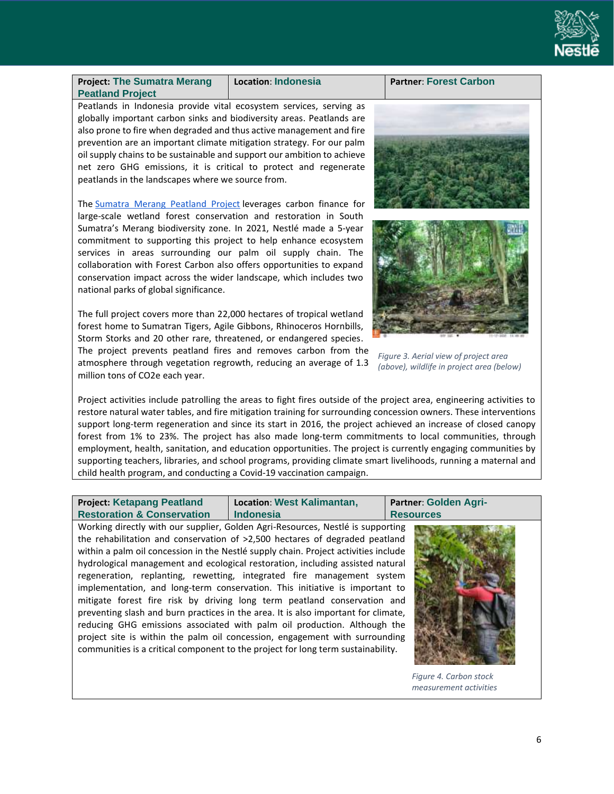

**Project: The Sumatra Merang Peatland Project**

**Location**: **Indonesia Partner**: **Forest Carbon**

Peatlands in Indonesia provide vital ecosystem services, serving as globally important carbon sinks and biodiversity areas. Peatlands are also prone to fire when degraded and thus active management and fire prevention are an important climate mitigation strategy. For our palm oil supply chains to be sustainable and support our ambition to achieve net zero GHG emissions, it is critical to protect and regenerate peatlands in the landscapes where we source from.

The [Sumatra Merang Peatland Project](https://forestcarbon.com/projects/) leverages carbon finance for large-scale wetland forest conservation and restoration in South Sumatra's Merang biodiversity zone. In 2021, Nestlé made a 5-year commitment to supporting this project to help enhance ecosystem services in areas surrounding our palm oil supply chain. The collaboration with Forest Carbon also offers opportunities to expand conservation impact across the wider landscape, which includes two national parks of global significance.

The full project covers more than 22,000 hectares of tropical wetland forest home to Sumatran Tigers, Agile Gibbons, Rhinoceros Hornbills, Storm Storks and 20 other rare, threatened, or endangered species.

The project prevents peatland fires and removes carbon from the atmosphere through vegetation regrowth, reducing an average of 1.3 million tons of CO2e each year.



*Figure 3. Aerial view of project area (above), wildlife in project area (below)*

Project activities include patrolling the areas to fight fires outside of the project area, engineering activities to restore natural water tables, and fire mitigation training for surrounding concession owners. These interventions support long-term regeneration and since its start in 2016, the project achieved an increase of closed canopy forest from 1% to 23%. The project has also made long-term commitments to local communities, through employment, health, sanitation, and education opportunities. The project is currently engaging communities by supporting teachers, libraries, and school programs, providing climate smart livelihoods, running a maternal and child health program, and conducting a Covid-19 vaccination campaign.

**Project: Ketapang Peatland Restoration & Conservation Location**: **West Kalimantan, Indonesia Partner**: **Golden Agri-Resources**

Working directly with our supplier, Golden Agri-Resources, Nestlé is supporting the rehabilitation and conservation of >2,500 hectares of degraded peatland within a palm oil concession in the Nestlé supply chain. Project activities include hydrological management and ecological restoration, including assisted natural regeneration, replanting, rewetting, integrated fire management system implementation, and long-term conservation. This initiative is important to mitigate forest fire risk by driving long term peatland conservation and preventing slash and burn practices in the area. It is also important for climate, reducing GHG emissions associated with palm oil production. Although the project site is within the palm oil concession, engagement with surrounding communities is a critical component to the project for long term sustainability.



*Figure 4. Carbon stock measurement activities*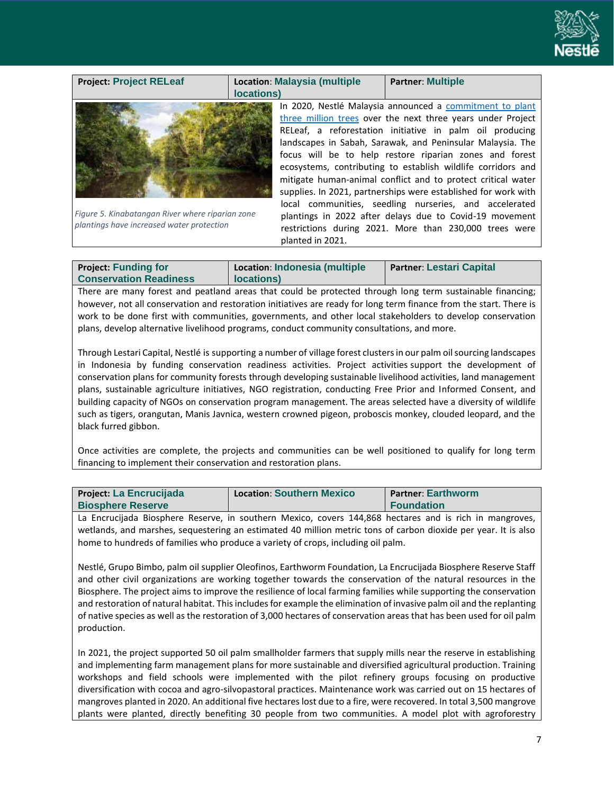

#### **Project: Project RELeaf Location**: **Malaysia (multiple locations) Partner**: **Multiple** In 2020, Nestlé Malaysia announced a [commitment to plant](https://www.nestle.com.my/media/pressreleases/nestle-to-plant-trees)  [three million trees](https://www.nestle.com.my/media/pressreleases/nestle-to-plant-trees) over the next three years under Project RELeaf, a reforestation initiative in palm oil producing landscapes in Sabah, Sarawak, and Peninsular Malaysia. The focus will be to help restore riparian zones and forest ecosystems, contributing to establish wildlife corridors and mitigate human-animal conflict and to protect critical water supplies. In 2021, partnerships were established for work with local communities, seedling nurseries, and accelerated plantings in 2022 after delays due to Covid-19 movement restrictions during 2021. More than 230,000 trees were planted in 2021. *Figure 5. Kinabatangan River where riparian zone plantings have increased water protection*

| <b>Project: Funding for</b>   | Location: Indonesia (multiple | <b>Partner: Lestari Capital</b> |
|-------------------------------|-------------------------------|---------------------------------|
| <b>Conservation Readiness</b> | locations)                    |                                 |

There are many forest and peatland areas that could be protected through long term sustainable financing; however, not all conservation and restoration initiatives are ready for long term finance from the start. There is work to be done first with communities, governments, and other local stakeholders to develop conservation plans, develop alternative livelihood programs, conduct community consultations, and more.

Through Lestari Capital, Nestlé is supporting a number of village forest clusters in our palm oil sourcing landscapes in Indonesia by funding conservation readiness activities. Project activities support the development of conservation plans for community forests through developing sustainable livelihood activities, land management plans, sustainable agriculture initiatives, NGO registration, conducting Free Prior and Informed Consent, and building capacity of NGOs on conservation program management. The areas selected have a diversity of wildlife such as tigers, orangutan, Manis Javnica, western crowned pigeon, proboscis monkey, clouded leopard, and the black furred gibbon.

Once activities are complete, the projects and communities can be well positioned to qualify for long term financing to implement their conservation and restoration plans.

| Project: La Encrucijada  | <b>Location: Southern Mexico</b> | <b>Partner: Earthworm</b> |
|--------------------------|----------------------------------|---------------------------|
| <b>Biosphere Reserve</b> |                                  | <b>Foundation</b>         |

La Encrucijada Biosphere Reserve, in southern Mexico, covers 144,868 hectares and is rich in mangroves, wetlands, and marshes, sequestering an estimated 40 million metric tons of carbon dioxide per year. It is also home to hundreds of families who produce a variety of crops, including oil palm.

Nestlé, Grupo Bimbo, palm oil supplier Oleofinos, Earthworm Foundation, La Encrucijada Biosphere Reserve Staff and other civil organizations are working together towards the conservation of the natural resources in the Biosphere. The project aims to improve the resilience of local farming families while supporting the conservation and restoration of natural habitat. This includes for example the elimination of invasive palm oil and the replanting of native species as well as the restoration of 3,000 hectares of conservation areas that has been used for oil palm production.

In 2021, the project supported 50 oil palm smallholder farmers that supply mills near the reserve in establishing and implementing farm management plans for more sustainable and diversified agricultural production. Training workshops and field schools were implemented with the pilot refinery groups focusing on productive diversification with cocoa and agro-silvopastoral practices. Maintenance work was carried out on 15 hectares of mangroves planted in 2020. An additional five hectares lost due to a fire, were recovered. In total 3,500 mangrove plants were planted, directly benefiting 30 people from two communities. A model plot with agroforestry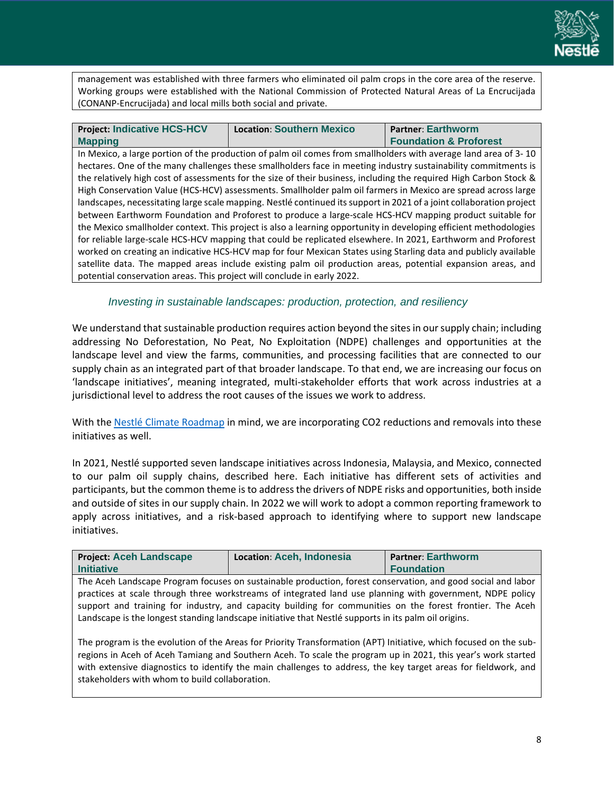

management was established with three farmers who eliminated oil palm crops in the core area of the reserve. Working groups were established with the National Commission of Protected Natural Areas of La Encrucijada (CONANP-Encrucijada) and local mills both social and private.

| <b>Project: Indicative HCS-HCV</b>                                      | <b>Location: Southern Mexico</b>                                                                                     | <b>Partner: Earthworm</b>         |
|-------------------------------------------------------------------------|----------------------------------------------------------------------------------------------------------------------|-----------------------------------|
| <b>Mapping</b>                                                          |                                                                                                                      | <b>Foundation &amp; Proforest</b> |
|                                                                         | In Mexico, a large portion of the production of palm oil comes from smallholders with average land area of 3-10      |                                   |
|                                                                         | hectares. One of the many challenges these smallholders face in meeting industry sustainability commitments is       |                                   |
|                                                                         | the relatively high cost of assessments for the size of their business, including the required High Carbon Stock &   |                                   |
|                                                                         | High Conservation Value (HCS-HCV) assessments. Smallholder palm oil farmers in Mexico are spread across large        |                                   |
|                                                                         | landscapes, necessitating large scale mapping. Nestlé continued its support in 2021 of a joint collaboration project |                                   |
|                                                                         | between Earthworm Foundation and Proforest to produce a large-scale HCS-HCV mapping product suitable for             |                                   |
|                                                                         | the Mexico smallholder context. This project is also a learning opportunity in developing efficient methodologies    |                                   |
|                                                                         | for reliable large-scale HCS-HCV mapping that could be replicated elsewhere. In 2021, Earthworm and Proforest        |                                   |
|                                                                         | worked on creating an indicative HCS-HCV map for four Mexican States using Starling data and publicly available      |                                   |
|                                                                         | satellite data. The mapped areas include existing palm oil production areas, potential expansion areas, and          |                                   |
| potential conservation areas. This project will conclude in early 2022. |                                                                                                                      |                                   |

#### *Investing in sustainable landscapes: production, protection, and resiliency*

<span id="page-9-0"></span>We understand that sustainable production requires action beyond the sites in our supply chain; including addressing No Deforestation, No Peat, No Exploitation (NDPE) challenges and opportunities at the landscape level and view the farms, communities, and processing facilities that are connected to our supply chain as an integrated part of that broader landscape. To that end, we are increasing our focus on 'landscape initiatives', meaning integrated, multi-stakeholder efforts that work across industries at a jurisdictional level to address the root causes of the issues we work to address.

With the Nestlé [Climate Roadmap](https://www.nestle.com/sustainability/climate-change) in mind, we are incorporating CO2 reductions and removals into these initiatives as well.

In 2021, Nestlé supported seven landscape initiatives across Indonesia, Malaysia, and Mexico, connected to our palm oil supply chains, described here. Each initiative has different sets of activities and participants, but the common theme is to addressthe drivers of NDPE risks and opportunities, both inside and outside of sites in our supply chain. In 2022 we will work to adopt a common reporting framework to apply across initiatives, and a risk-based approach to identifying where to support new landscape initiatives.

| <b>Project: Aceh Landscape</b>                                                                               | Location: Aceh. Indonesia | <b>Partner: Earthworm</b> |
|--------------------------------------------------------------------------------------------------------------|---------------------------|---------------------------|
| <b>Initiative</b>                                                                                            |                           | <b>I</b> Foundation       |
| The Aceh Landscane Program focuses on sustainable production, forest conservation, and good social and labor |                           |                           |

The Aceh Landscape Program focuses on sustainable production, forest conservation, and good social and labor practices at scale through three workstreams of integrated land use planning with government, NDPE policy support and training for industry, and capacity building for communities on the forest frontier. The Aceh Landscape is the longest standing landscape initiative that Nestlé supports in its palm oil origins.

The program is the evolution of the Areas for Priority Transformation (APT) Initiative, which focused on the subregions in Aceh of Aceh Tamiang and Southern Aceh. To scale the program up in 2021, this year's work started with extensive diagnostics to identify the main challenges to address, the key target areas for fieldwork, and stakeholders with whom to build collaboration.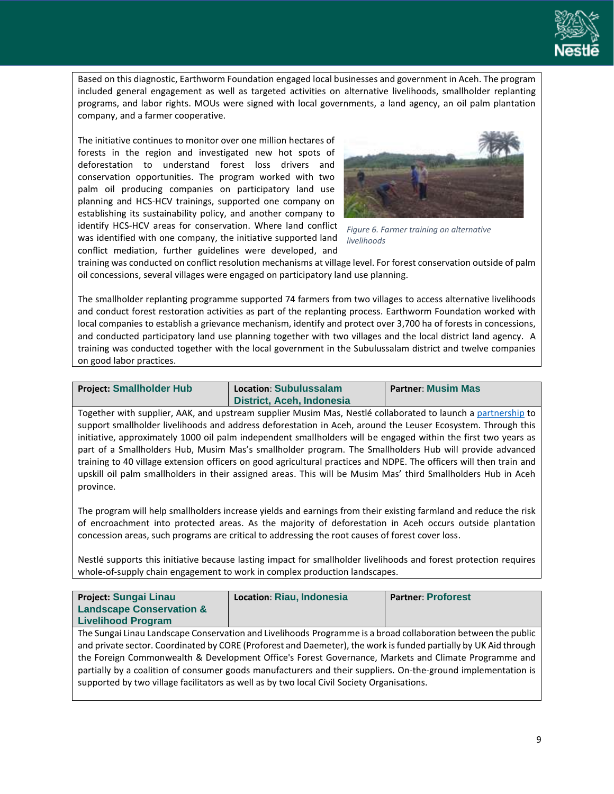

Based on this diagnostic, Earthworm Foundation engaged local businesses and government in Aceh. The program included general engagement as well as targeted activities on alternative livelihoods, smallholder replanting programs, and labor rights. MOUs were signed with local governments, a land agency, an oil palm plantation company, and a farmer cooperative.

The initiative continues to monitor over one million hectares of forests in the region and investigated new hot spots of deforestation to understand forest loss drivers and conservation opportunities. The program worked with two palm oil producing companies on participatory land use planning and HCS-HCV trainings, supported one company on establishing its sustainability policy, and another company to identify HCS-HCV areas for conservation. Where land conflict was identified with one company, the initiative supported land conflict mediation, further guidelines were developed, and



*Figure 6. Farmer training on alternative livelihoods*

training was conducted on conflict resolution mechanisms at village level. For forest conservation outside of palm oil concessions, several villages were engaged on participatory land use planning.

The smallholder replanting programme supported 74 farmers from two villages to access alternative livelihoods and conduct forest restoration activities as part of the replanting process. Earthworm Foundation worked with local companies to establish a grievance mechanism, identify and protect over 3,700 ha of forests in concessions, and conducted participatory land use planning together with two villages and the local district land agency. A training was conducted together with the local government in the Subulussalam district and twelve companies on good labor practices.

| <b>Project: Smallholder Hub</b> | Location: Subulussalam           | <b>Partner: Musim Mas</b> |
|---------------------------------|----------------------------------|---------------------------|
|                                 | <b>District, Aceh, Indonesia</b> |                           |

Together with supplier, AAK, and upstream supplier Musim Mas, Nestlé collaborated to launch a [partnership](https://www.musimmas.com/musim-mas-partners-with-aak-and-nestle-to-address-deforestation-outside-of-concession-areas/) to support smallholder livelihoods and address deforestation in Aceh, around the Leuser Ecosystem. Through this initiative, approximately 1000 oil palm independent smallholders will be engaged within the first two years as part of a Smallholders Hub, Musim Mas's smallholder program. The Smallholders Hub will provide advanced training to 40 village extension officers on good agricultural practices and NDPE. The officers will then train and upskill oil palm smallholders in their assigned areas. This will be Musim Mas' third Smallholders Hub in Aceh province.

The program will help smallholders increase yields and earnings from their existing farmland and reduce the risk of encroachment into protected areas. As the majority of deforestation in Aceh occurs outside plantation concession areas, such programs are critical to addressing the root causes of forest cover loss.

Nestlé supports this initiative because lasting impact for smallholder livelihoods and forest protection requires whole-of-supply chain engagement to work in complex production landscapes.

| Project: Sungai Linau               | Location: Riau, Indonesia                                                                                        | <b>Partner: Proforest</b> |
|-------------------------------------|------------------------------------------------------------------------------------------------------------------|---------------------------|
| <b>Landscape Conservation &amp;</b> |                                                                                                                  |                           |
| <b>Livelihood Program</b>           |                                                                                                                  |                           |
|                                     | The Sungai Linau Landscape Conservation and Livelihoods Programme is a broad collaboration between the public    |                           |
|                                     | and private sector. Coordinated by CORE (Proforest and Daemeter), the work is funded partially by UK Aid through |                           |
|                                     | the Foreign Commonwealth & Development Office's Forest Governance, Markets and Climate Programme and             |                           |
|                                     | partially by a coalition of consumer goods manufacturers and their suppliers. On-the-ground implementation is    |                           |
|                                     | supported by two village facilitators as well as by two local Civil Society Organisations.                       |                           |
|                                     |                                                                                                                  |                           |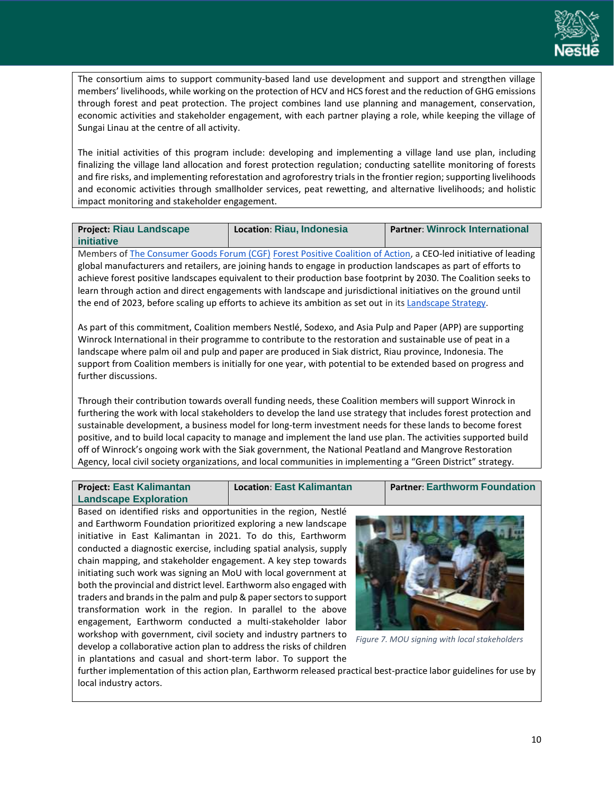

The consortium aims to support community-based land use development and support and strengthen village members' livelihoods, while working on the protection of HCV and HCS forest and the reduction of GHG emissions through forest and peat protection. The project combines land use planning and management, conservation, economic activities and stakeholder engagement, with each partner playing a role, while keeping the village of Sungai Linau at the centre of all activity.

The initial activities of this program include: developing and implementing a village land use plan, including finalizing the village land allocation and forest protection regulation; conducting satellite monitoring of forests and fire risks, and implementing reforestation and agroforestry trials in the frontier region; supporting livelihoods and economic activities through smallholder services, peat rewetting, and alternative livelihoods; and holistic impact monitoring and stakeholder engagement.

| <b>Project: Riau Landscape</b> | Location: Riau, Indonesia | <b>Partner: Winrock International</b> |
|--------------------------------|---------------------------|---------------------------------------|
| initiative                     |                           |                                       |

Members o[f The Consumer Goods Forum \(CGF\)](https://www.theconsumergoodsforum.com/) [Forest Positive Coalition of Action,](https://www.theconsumergoodsforum.com/initiatives/environmental-sustainability/key-projects/forest-positive/) a CEO-led initiative of leading global manufacturers and retailers, are joining hands to engage in production landscapes as part of efforts to achieve forest positive landscapes equivalent to their production base footprint by 2030. The Coalition seeks to learn through action and direct engagements with landscape and jurisdictional initiatives on the ground until the end of 2023, before scaling up efforts to achieve its ambition as set out in its [Landscape Strategy.](https://www.theconsumergoodsforum.com/wp-content/uploads/2021/11/FPC-Landscape-Strategy-2021.pdf#new_tab)

As part of this commitment, Coalition members Nestlé, Sodexo, and Asia Pulp and Paper (APP) are supporting Winrock International in their programme to contribute to the restoration and sustainable use of peat in a landscape where palm oil and pulp and paper are produced in Siak district, Riau province, Indonesia. The support from Coalition members is initially for one year, with potential to be extended based on progress and further discussions.

Through their contribution towards overall funding needs, these Coalition members will support Winrock in furthering the work with local stakeholders to develop the land use strategy that includes forest protection and sustainable development, a business model for long-term investment needs for these lands to become forest positive, and to build local capacity to manage and implement the land use plan. The activities supported build off of Winrock's ongoing work with the Siak government, the National Peatland and Mangrove Restoration Agency, local civil society organizations, and local communities in implementing a "Green District" strategy.

| <b>Project: East Kalimantan</b> | <b>Location: East Kalimantan</b> | Partner: Earthworm Foundation |
|---------------------------------|----------------------------------|-------------------------------|
| <b>Landscape Exploration</b>    |                                  |                               |

Based on identified risks and opportunities in the region, Nestlé and Earthworm Foundation prioritized exploring a new landscape initiative in East Kalimantan in 2021. To do this, Earthworm conducted a diagnostic exercise, including spatial analysis, supply chain mapping, and stakeholder engagement. A key step towards initiating such work was signing an MoU with local government at both the provincial and district level. Earthworm also engaged with traders and brands in the palm and pulp & paper sectors to support transformation work in the region. In parallel to the above engagement, Earthworm conducted a multi-stakeholder labor workshop with government, civil society and industry partners to develop a collaborative action plan to address the risks of children in plantations and casual and short-term labor. To support the



*Figure 7. MOU signing with local stakeholders*

further implementation of this action plan, Earthworm released practical best-practice labor guidelines for use by local industry actors.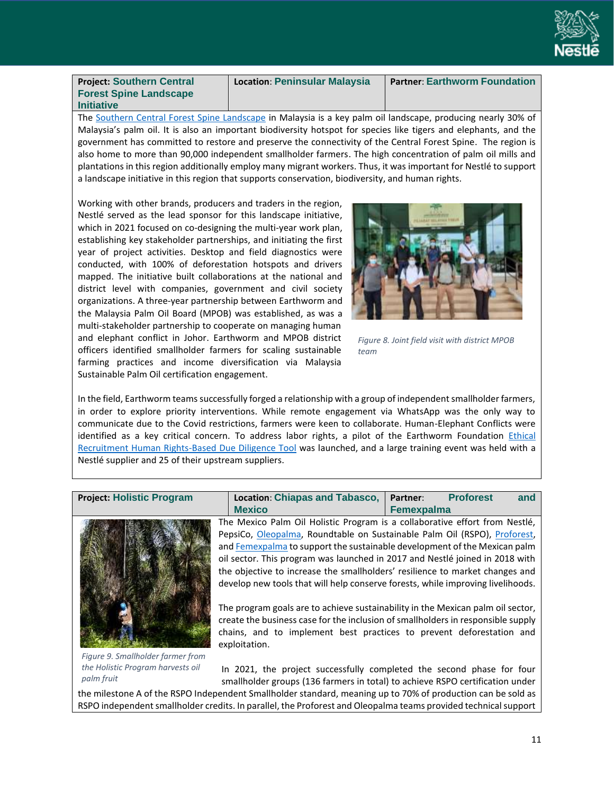

**Project: Southern Central Forest Spine Landscape Initiative**

**Location**: **Peninsular Malaysia Partner**: **Earthworm Foundation**

The [Southern Central Forest Spine Landscape](https://www.earthworm.org/news-stories/scfs-businesscase-sustainablepalmoil) in Malaysia is a key palm oil landscape, producing nearly 30% of Malaysia's palm oil. It is also an important biodiversity hotspot for species like tigers and elephants, and the government has committed to restore and preserve the connectivity of the Central Forest Spine. The region is also home to more than 90,000 independent smallholder farmers. The high concentration of palm oil mills and plantations in this region additionally employ many migrant workers. Thus, it was important for Nestlé to support a landscape initiative in this region that supports conservation, biodiversity, and human rights.

Working with other brands, producers and traders in the region, Nestlé served as the lead sponsor for this landscape initiative, which in 2021 focused on co-designing the multi-year work plan, establishing key stakeholder partnerships, and initiating the first year of project activities. Desktop and field diagnostics were conducted, with 100% of deforestation hotspots and drivers mapped. The initiative built collaborations at the national and district level with companies, government and civil society organizations. A three-year partnership between Earthworm and the Malaysia Palm Oil Board (MPOB) was established, as was a multi-stakeholder partnership to cooperate on managing human and elephant conflict in Johor. Earthworm and MPOB district officers identified smallholder farmers for scaling sustainable farming practices and income diversification via Malaysia Sustainable Palm Oil certification engagement.



*Figure 8. Joint field visit with district MPOB team*

In the field, Earthworm teams successfully forged a relationship with a group of independent smallholder farmers, in order to explore priority interventions. While remote engagement via WhatsApp was the only way to communicate due to the Covid restrictions, farmers were keen to collaborate. Human-Elephant Conflicts were identified as a key critical concern. To address labor rights, a pilot of the Earthworm Foundation Ethical [Recruitment Human Rights-Based Due Diligence Tool](https://www.earthworm.org/news-stories/due-diligence-tool-ethical-recruitment-malaysia) was launched, and a large training event was held with a Nestlé supplier and 25 of their upstream suppliers.



*Figure 9. Smallholder farmer from the Holistic Program harvests oil palm fruit*

**Project: Holistic Program Location**: **Chiapas and Tabasco, Mexico Partner**: **Proforest and Femexpalma**

> The Mexico Palm Oil Holistic Program is a collaborative effort from Nestlé, PepsiCo, [Oleopalma,](https://www.oleopalma.com.mx/en/inicio-en/) Roundtable on Sustainable Palm Oil (RSPO), [Proforest,](https://proforest.net/en) an[d Femexpalma](http://www.femexpalma.com.mx/) to support the sustainable development of the Mexican palm oil sector. This program was launched in 2017 and Nestlé joined in 2018 with the objective to increase the smallholders' resilience to market changes and develop new tools that will help conserve forests, while improving livelihoods.

> The program goals are to achieve sustainability in the Mexican palm oil sector, create the business case for the inclusion of smallholders in responsible supply chains, and to implement best practices to prevent deforestation and exploitation.

> In 2021, the project successfully completed the second phase for four smallholder groups (136 farmers in total) to achieve RSPO certification under

the milestone A of the RSPO Independent Smallholder standard, meaning up to 70% of production can be sold as RSPO independent smallholder credits. In parallel, the Proforest and Oleopalma teams provided technical support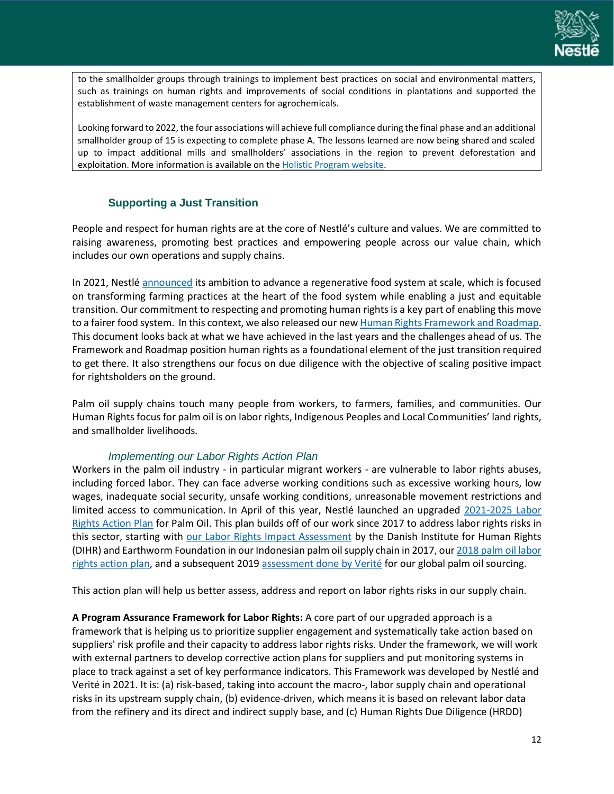

to the smallholder groups through trainings to implement best practices on social and environmental matters, such as trainings on human rights and improvements of social conditions in plantations and supported the establishment of waste management centers for agrochemicals.

Looking forward to 2022, the four associations will achieve full compliance during the final phase and an additional smallholder group of 15 is expecting to complete phase A. The lessons learned are now being shared and scaled up to impact additional mills and smallholders' associations in the region to prevent deforestation and exploitation. More information is available on th[e Holistic Program website.](https://unmexicopalmerosustentable.com/)

# **Supporting a Just Transition**

<span id="page-13-0"></span>People and respect for human rights are at the core of Nestlé's culture and values. We are committed to raising awareness, promoting best practices and empowering people across our value chain, which includes our own operations and supply chains.

In 2021, Nestlé [announced](https://www.nestle.com/media/pressreleases/allpressreleases/support-transition-regenerative-food-system) its ambition to advance a regenerative food system at scale, which is focused on transforming farming practices at the heart of the food system while enabling a just and equitable transition. Our commitment to respecting and promoting human rights is a key part of enabling this move to a fairer food system. In this context, we also released our ne[w Human Rights Framework and Roadmap.](https://www.nestle.com/sites/default/files/2021-12/nestle-human-rights-framework-roadmap.pdf) This document looks back at what we have achieved in the last years and the challenges ahead of us. The Framework and Roadmap position human rights as a foundational element of the just transition required to get there. It also strengthens our focus on due diligence with the objective of scaling positive impact for rightsholders on the ground.

Palm oil supply chains touch many people from workers, to farmers, families, and communities. Our Human Rights focus for palm oil is on labor rights, Indigenous Peoples and Local Communities' land rights, and smallholder livelihoods.

## *Implementing our Labor Rights Action Plan*

<span id="page-13-1"></span>Workers in the palm oil industry - in particular migrant workers - are vulnerable to labor rights abuses, including forced labor. They can face adverse working conditions such as excessive working hours, low wages, inadequate social security, unsafe working conditions, unreasonable movement restrictions and limited access to communication. In April of this year, Nestlé launched an upgraded [2021-2025 Labor](https://www.nestle.com/media/news/nestle-plan-help-protect-labor-rights-palm-oil-sector) [Rights Action Plan](https://www.nestle.com/media/news/nestle-plan-help-protect-labor-rights-palm-oil-sector) for Palm Oil. This plan builds off of our work since 2017 to address labor rights risks in this sector, starting with [our Labor Rights Impact Assessment](https://www.humanrights.dk/publications/labour-rights-assessment-nestles-palm-oil-supply-chain-indonesia) by the Danish Institute for Human Rights (DIHR) and Earthworm Foundation in our Indonesian palm oil supply chain in 2017, our 2018 palm oil labor [rights action plan,](https://www.nestle.com/sites/default/files/asset-library/documents/creating-shared-value/responsible-sourcing/palm-oil-action-plan-2018.pdf) and a subsequent 2019 [assessment done by Verité](https://www.verite.org/wp-content/uploads/2021/04/Nestle-Palm-Oil-Public-Report-Verite.pdf) for our global palm oil sourcing.

This action plan will help us better assess, address and report on labor rights risks in our supply chain.

**A Program Assurance Framework for Labor Rights:** A core part of our upgraded approach is a framework that is helping us to prioritize supplier engagement and systematically take action based on suppliers' risk profile and their capacity to address labor rights risks. Under the framework, we will work with external partners to develop corrective action plans for suppliers and put monitoring systems in place to track against a set of key performance indicators. This Framework was developed by Nestlé and Verité in 2021. It is: (a) risk-based, taking into account the macro-, labor supply chain and operational risks in its upstream supply chain, (b) evidence-driven, which means it is based on relevant labor data from the refinery and its direct and indirect supply base, and (c) Human Rights Due Diligence (HRDD)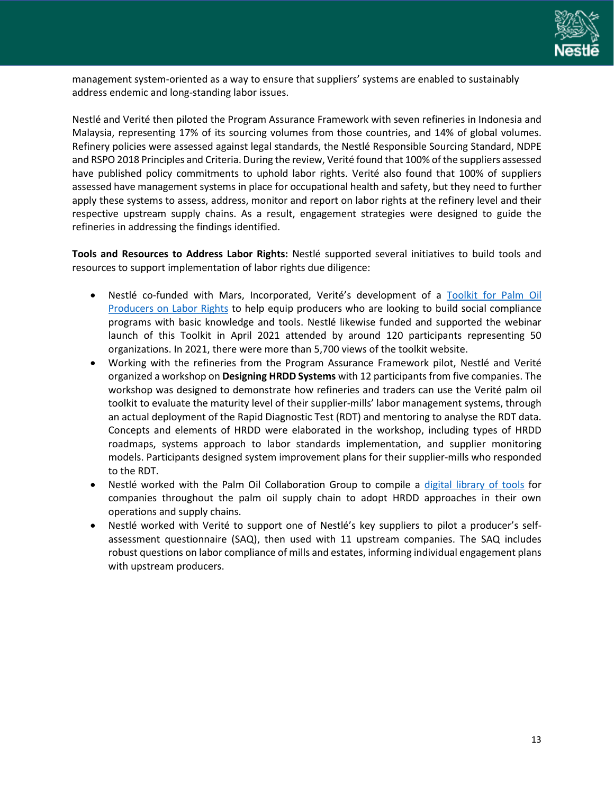

management system-oriented as a way to ensure that suppliers' systems are enabled to sustainably address endemic and long-standing labor issues.

Nestlé and Verité then piloted the Program Assurance Framework with seven refineries in Indonesia and Malaysia, representing 17% of its sourcing volumes from those countries, and 14% of global volumes. Refinery policies were assessed against legal standards, the Nestlé Responsible Sourcing Standard, NDPE and RSPO 2018 Principles and Criteria. During the review, Verité found that 100% of the suppliers assessed have published policy commitments to uphold labor rights. Verité also found that 100% of suppliers assessed have management systems in place for occupational health and safety, but they need to further apply these systems to assess, address, monitor and report on labor rights at the refinery level and their respective upstream supply chains. As a result, engagement strategies were designed to guide the refineries in addressing the findings identified.

**Tools and Resources to Address Labor Rights:** Nestlé supported several initiatives to build tools and resources to support implementation of labor rights due diligence:

- Nestlé co-funded with Mars, Incorporated, Verité's development of a [Toolkit for Palm Oil](https://www.verite.org/resources/our-work-in-palm-oil/palm-oil-toolkit/)  [Producers on Labor Rights](https://www.verite.org/resources/our-work-in-palm-oil/palm-oil-toolkit/) to help equip producers who are looking to build social compliance programs with basic knowledge and tools. Nestlé likewise funded and supported the webinar launch of this Toolkit in April 2021 attended by around 120 participants representing 50 organizations. In 2021, there were more than 5,700 views of the toolkit website.
- Working with the refineries from the Program Assurance Framework pilot, Nestlé and Verité organized a workshop on **Designing HRDD Systems** with 12 participants from five companies. The workshop was designed to demonstrate how refineries and traders can use the Verité palm oil toolkit to evaluate the maturity level of their supplier-mills' labor management systems, through an actual deployment of the Rapid Diagnostic Test (RDT) and mentoring to analyse the RDT data. Concepts and elements of HRDD were elaborated in the workshop, including types of HRDD roadmaps, systems approach to labor standards implementation, and supplier monitoring models. Participants designed system improvement plans for their supplier-mills who responded to the RDT.
- Nestlé worked with the Palm Oil Collaboration Group to compile a [digital library of tools](https://palmoilcollaborationgroup.net/hrdd-library-of-tools) for companies throughout the palm oil supply chain to adopt HRDD approaches in their own operations and supply chains.
- Nestlé worked with Verité to support one of Nestlé's key suppliers to pilot a producer's selfassessment questionnaire (SAQ), then used with 11 upstream companies. The SAQ includes robust questions on labor compliance of mills and estates, informing individual engagement plans with upstream producers.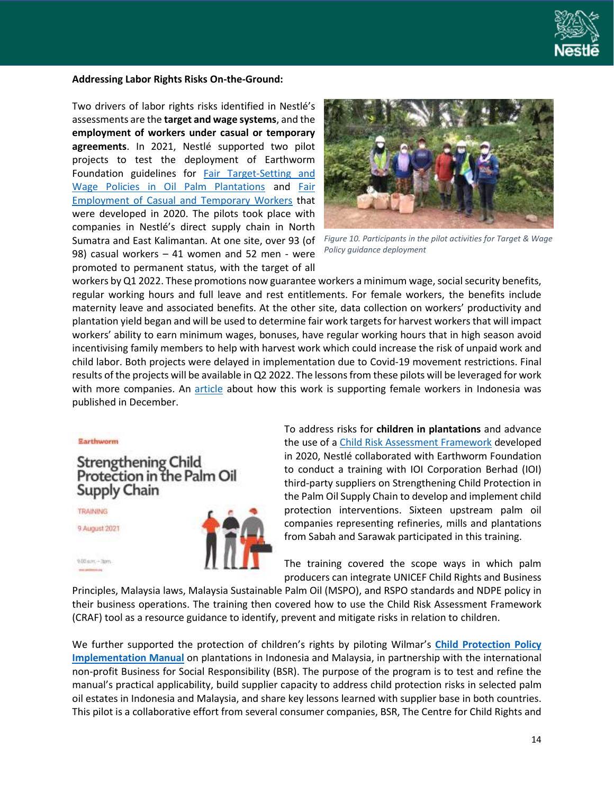

#### **Addressing Labor Rights Risks On-the-Ground:**

Two drivers of labor rights risks identified in Nestlé's assessments are the **target and wage systems**, and the **employment of workers under casual or temporary agreements**. In 2021, Nestlé supported two pilot projects to test the deployment of Earthworm Foundation guidelines for Fair Target-Setting and [Wage Policies in Oil Palm Plantations](https://www.earthworm.org/uploads/files/Guideline-Target-and-Wage-Policies.pdf) and [Fair](https://www.earthworm.org/uploads/files/Guideline-Fair-Employment-of-Casual-Workers.pdf)  [Employment of Casual and Temporary Workers](https://www.earthworm.org/uploads/files/Guideline-Fair-Employment-of-Casual-Workers.pdf) that were developed in 2020. The pilots took place with companies in Nestlé's direct supply chain in North Sumatra and East Kalimantan. At one site, over 93 (of 98) casual workers – 41 women and 52 men - were promoted to permanent status, with the target of all



*Figure 10. Participants in the pilot activities for Target & Wage Policy guidance deployment*

workers by Q1 2022. These promotions now guarantee workers a minimum wage, social security benefits, regular working hours and full leave and rest entitlements. For female workers, the benefits include maternity leave and associated benefits. At the other site, data collection on workers' productivity and plantation yield began and will be used to determine fair work targets for harvest workersthat will impact workers' ability to earn minimum wages, bonuses, have regular working hours that in high season avoid incentivising family members to help with harvest work which could increase the risk of unpaid work and child labor. Both projects were delayed in implementation due to Covid-19 movement restrictions. Final results of the projects will be available in Q2 2022. The lessons from these pilots will be leveraged for work with more companies. An [article](https://www.earthworm.org/fr/news-stories/collaboration-between-earthworm-foundation-nestl%C3%A9-and-golden-agri-resources-demonstrates-how-the-industry-can-improve-working-conditions-for-women-in-the-palm-oil-sector) about how this work is supporting female workers in Indonesia was published in December.

Earthworm

**Strengthening Child** Protection in the Palm Oil Supply Chain

**TRAINING** 

9 August 2021

 $0.00 \, \text{atm} + 30 \, \text{m}$ 



To address risks for **children in plantations** and advance the use of a Child [Risk Assessment Framework](https://www.earthworm.org/uploads/files/Child-Risk-Assessment-Framework-2020.pdf) developed in 2020, Nestlé collaborated with Earthworm Foundation to conduct a training with IOI Corporation Berhad (IOI) third-party suppliers on Strengthening Child Protection in the Palm Oil Supply Chain to develop and implement child protection interventions. Sixteen upstream palm oil companies representing refineries, mills and plantations from Sabah and Sarawak participated in this training.

The training covered the scope ways in which palm producers can integrate UNICEF Child Rights and Business

Principles, Malaysia laws, Malaysia Sustainable Palm Oil (MSPO), and RSPO standards and NDPE policy in their business operations. The training then covered how to use the Child Risk Assessment Framework (CRAF) tool as a resource guidance to identify, prevent and mitigate risks in relation to children.

We further supported the protection of children's rights by piloting Wilmar's **[Child Protection Policy](https://eur02.safelinks.protection.outlook.com/?url=https%3A%2F%2Flinkprotect.cudasvc.com%2Furl%3Fa%3Dhttps%253a%252f%252fbit.ly%252f3r7BFKy%26c%3DE%2C1%2CfhoU50AtHIiX6nN0cPgbNwvFvpmR9-y3jFr_TFebrgcgPM8bPpPEonJCxhJybp1wZx--z5mvDJwxaxZ8jlrDDNiH0q5NYzvbWN2ohupuzdt9OVyKR15UlNg%2C%26typo%3D1&data=04%7C01%7CMegane.Chesne%40my.nestle.com%7C1c3629beebb548ac907e08d9d45e380e%7C12a3af23a7694654847f958f3d479f4a%7C0%7C0%7C637774323421445570%7CUnknown%7CTWFpbGZsb3d8eyJWIjoiMC4wLjAwMDAiLCJQIjoiV2luMzIiLCJBTiI6Ik1haWwiLCJXVCI6Mn0%3D%7C3000&sdata=EDSK1GlDtSHcERnKInuv0Olkyk64tiW5d8MDp9%2BGa2Y%3D&reserved=0)  [Implementation Manual](https://eur02.safelinks.protection.outlook.com/?url=https%3A%2F%2Flinkprotect.cudasvc.com%2Furl%3Fa%3Dhttps%253a%252f%252fbit.ly%252f3r7BFKy%26c%3DE%2C1%2CfhoU50AtHIiX6nN0cPgbNwvFvpmR9-y3jFr_TFebrgcgPM8bPpPEonJCxhJybp1wZx--z5mvDJwxaxZ8jlrDDNiH0q5NYzvbWN2ohupuzdt9OVyKR15UlNg%2C%26typo%3D1&data=04%7C01%7CMegane.Chesne%40my.nestle.com%7C1c3629beebb548ac907e08d9d45e380e%7C12a3af23a7694654847f958f3d479f4a%7C0%7C0%7C637774323421445570%7CUnknown%7CTWFpbGZsb3d8eyJWIjoiMC4wLjAwMDAiLCJQIjoiV2luMzIiLCJBTiI6Ik1haWwiLCJXVCI6Mn0%3D%7C3000&sdata=EDSK1GlDtSHcERnKInuv0Olkyk64tiW5d8MDp9%2BGa2Y%3D&reserved=0)** on plantations in Indonesia and Malaysia, in partnership with the international non-profit Business for Social Responsibility (BSR). The purpose of the program is to test and refine the manual's practical applicability, build supplier capacity to address child protection risks in selected palm oil estates in Indonesia and Malaysia, and share key lessons learned with supplier base in both countries. This pilot is a collaborative effort from several consumer companies, BSR, The Centre for Child Rights and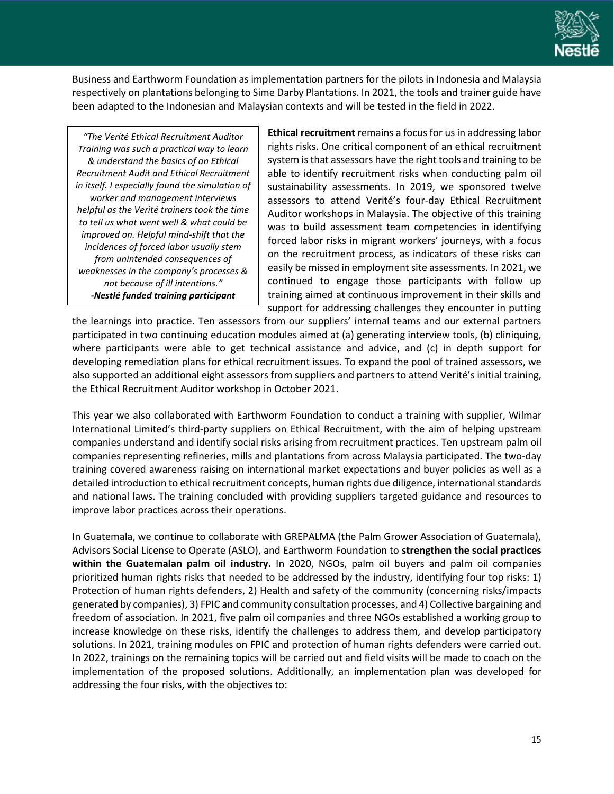

Business and Earthworm Foundation as implementation partners for the pilots in Indonesia and Malaysia respectively on plantations belonging to Sime Darby Plantations. In 2021, the tools and trainer guide have been adapted to the Indonesian and Malaysian contexts and will be tested in the field in 2022.

*"The Verité Ethical Recruitment Auditor Training was such a practical way to learn & understand the basics of an Ethical Recruitment Audit and Ethical Recruitment in itself. I especially found the simulation of worker and management interviews helpful as the Verité trainers took the time to tell us what went well & what could be improved on. Helpful mind-shift that the incidences of forced labor usually stem from unintended consequences of weaknesses in the company's processes & not because of ill intentions." -Nestlé funded training participant*

**Ethical recruitment** remains a focus for us in addressing labor rights risks. One critical component of an ethical recruitment system is that assessors have the right tools and training to be able to identify recruitment risks when conducting palm oil sustainability assessments. In 2019, we sponsored twelve assessors to attend Verité's four-day Ethical Recruitment Auditor workshops in Malaysia. The objective of this training was to build assessment team competencies in identifying forced labor risks in migrant workers' journeys, with a focus on the recruitment process, as indicators of these risks can easily be missed in employment site assessments. In 2021, we continued to engage those participants with follow up training aimed at continuous improvement in their skills and support for addressing challenges they encounter in putting

the learnings into practice. Ten assessors from our suppliers' internal teams and our external partners participated in two continuing education modules aimed at (a) generating interview tools, (b) cliniquing, where participants were able to get technical assistance and advice, and (c) in depth support for developing remediation plans for ethical recruitment issues. To expand the pool of trained assessors, we also supported an additional eight assessors from suppliers and partnersto attend Verité's initial training, the Ethical Recruitment Auditor workshop in October 2021.

This year we also collaborated with Earthworm Foundation to conduct a training with supplier, Wilmar International Limited's third-party suppliers on Ethical Recruitment, with the aim of helping upstream companies understand and identify social risks arising from recruitment practices. Ten upstream palm oil companies representing refineries, mills and plantations from across Malaysia participated. The two-day training covered awareness raising on international market expectations and buyer policies as well as a detailed introduction to ethical recruitment concepts, human rights due diligence, international standards and national laws. The training concluded with providing suppliers targeted guidance and resources to improve labor practices across their operations.

In Guatemala, we continue to collaborate with GREPALMA (the Palm Grower Association of Guatemala), Advisors Social License to Operate (ASLO), and Earthworm Foundation to **strengthen the social practices within the Guatemalan palm oil industry.** In 2020, NGOs, palm oil buyers and palm oil companies prioritized human rights risks that needed to be addressed by the industry, identifying four top risks: 1) Protection of human rights defenders, 2) Health and safety of the community (concerning risks/impacts generated by companies), 3) FPIC and community consultation processes, and 4) Collective bargaining and freedom of association. In 2021, five palm oil companies and three NGOs established a working group to increase knowledge on these risks, identify the challenges to address them, and develop participatory solutions. In 2021, training modules on FPIC and protection of human rights defenders were carried out. In 2022, trainings on the remaining topics will be carried out and field visits will be made to coach on the implementation of the proposed solutions. Additionally, an implementation plan was developed for addressing the four risks, with the objectives to: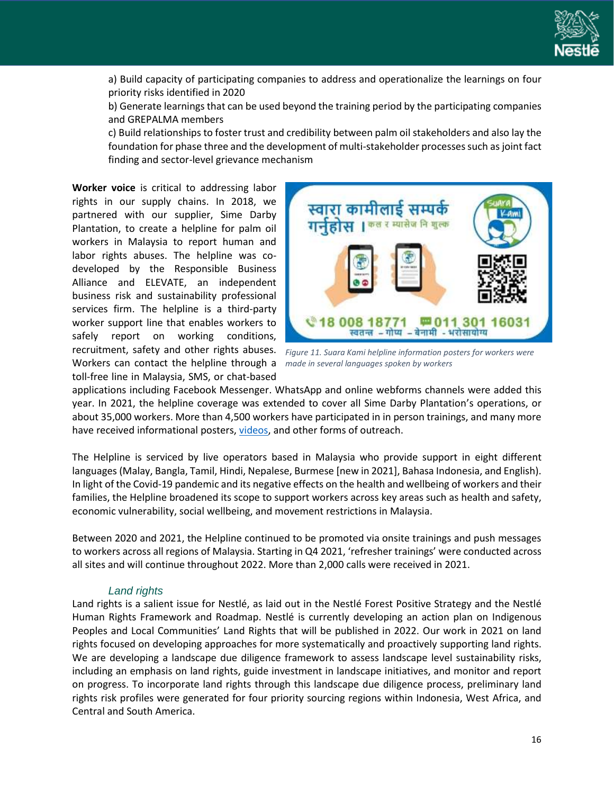

a) Build capacity of participating companies to address and operationalize the learnings on four priority risks identified in 2020

b) Generate learnings that can be used beyond the training period by the participating companies and GREPALMA members

c) Build relationships to foster trust and credibility between palm oil stakeholders and also lay the foundation for phase three and the development of multi-stakeholder processes such as joint fact finding and sector-level grievance mechanism

**Worker voice** is critical to addressing labor rights in our supply chains. In 2018, we partnered with our supplier, Sime Darby Plantation, to create a helpline for palm oil workers in Malaysia to report human and labor rights abuses. The helpline was codeveloped by the Responsible Business Alliance and ELEVATE, an independent business risk and sustainability professional services firm. The helpline is a third-party worker support line that enables workers to safely report on working conditions, recruitment, safety and other rights abuses. Workers can contact the helpline through a toll-free line in Malaysia, SMS, or chat-based



*Figure 11. Suara Kami helpline information posters for workers were made in several languages spoken by workers*

applications including Facebook Messenger. WhatsApp and online webforms channels were added this year. In 2021, the helpline coverage was extended to cover all Sime Darby Plantation's operations, or about 35,000 workers. More than 4,500 workers have participated in in person trainings, and many more have received informational posters[, videos,](https://www.facebook.com/suarakamihelp/) and other forms of outreach.

The Helpline is serviced by live operators based in Malaysia who provide support in eight different languages (Malay, Bangla, Tamil, Hindi, Nepalese, Burmese [new in 2021], Bahasa Indonesia, and English). In light of the Covid-19 pandemic and its negative effects on the health and wellbeing of workers and their families, the Helpline broadened its scope to support workers across key areas such as health and safety, economic vulnerability, social wellbeing, and movement restrictions in Malaysia.

Between 2020 and 2021, the Helpline continued to be promoted via onsite trainings and push messages to workers across all regions of Malaysia. Starting in Q4 2021, 'refresher trainings' were conducted across all sites and will continue throughout 2022. More than 2,000 calls were received in 2021.

#### *Land rights*

<span id="page-17-0"></span>Land rights is a salient issue for Nestlé, as laid out in the Nestlé Forest Positive Strategy and the Nestlé Human Rights Framework and Roadmap. Nestlé is currently developing an action plan on Indigenous Peoples and Local Communities' Land Rights that will be published in 2022. Our work in 2021 on land rights focused on developing approaches for more systematically and proactively supporting land rights. We are developing a landscape due diligence framework to assess landscape level sustainability risks, including an emphasis on land rights, guide investment in landscape initiatives, and monitor and report on progress. To incorporate land rights through this landscape due diligence process, preliminary land rights risk profiles were generated for four priority sourcing regions within Indonesia, West Africa, and Central and South America.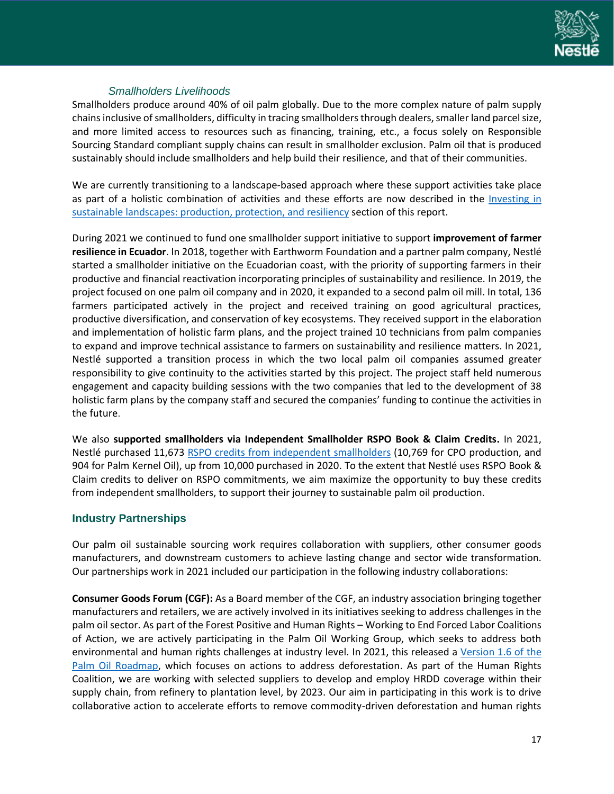

# *Smallholders Livelihoods*

<span id="page-18-0"></span>Smallholders produce around 40% of oil palm globally. Due to the more complex nature of palm supply chainsinclusive of smallholders, difficulty in tracing smallholders through dealers, smaller land parcel size, and more limited access to resources such as financing, training, etc., a focus solely on Responsible Sourcing Standard compliant supply chains can result in smallholder exclusion. Palm oil that is produced sustainably should include smallholders and help build their resilience, and that of their communities.

We are currently transitioning to a landscape-based approach where these support activities take place as part of a holistic combination of activities and these efforts are now described in the Investing in [sustainable landscapes: production, protection, and resiliency](#page-9-0) section of this report.

During 2021 we continued to fund one smallholder support initiative to support **improvement of farmer resilience in Ecuador**. In 2018, together with Earthworm Foundation and a partner palm company, Nestlé started a smallholder initiative on the Ecuadorian coast, with the priority of supporting farmers in their productive and financial reactivation incorporating principles of sustainability and resilience. In 2019, the project focused on one palm oil company and in 2020, it expanded to a second palm oil mill. In total, 136 farmers participated actively in the project and received training on good agricultural practices, productive diversification, and conservation of key ecosystems. They received support in the elaboration and implementation of holistic farm plans, and the project trained 10 technicians from palm companies to expand and improve technical assistance to farmers on sustainability and resilience matters. In 2021, Nestlé supported a transition process in which the two local palm oil companies assumed greater responsibility to give continuity to the activities started by this project. The project staff held numerous engagement and capacity building sessions with the two companies that led to the development of 38 holistic farm plans by the company staff and secured the companies' funding to continue the activities in the future.

We also **supported smallholders via Independent Smallholder RSPO Book & Claim Credits.** In 2021, Nestlé purchased 11,673 [RSPO credits from independent smallholders](https://www.rspo.org/rspo-credits/i-am-a-seller/i-am-an-independent-smallholder#:~:text=As%20an%20independent%20smallholder%2C%20trading%20in%20RSPO%20credits,to%20sell%20these%20Bunches%20to%20a%20certified%20mill.) (10,769 for CPO production, and 904 for Palm Kernel Oil), up from 10,000 purchased in 2020. To the extent that Nestlé uses RSPO Book & Claim credits to deliver on RSPO commitments, we aim maximize the opportunity to buy these credits from independent smallholders, to support their journey to sustainable palm oil production.

## <span id="page-18-1"></span>**Industry Partnerships**

Our palm oil sustainable sourcing work requires collaboration with suppliers, other consumer goods manufacturers, and downstream customers to achieve lasting change and sector wide transformation. Our partnerships work in 2021 included our participation in the following industry collaborations:

**Consumer Goods Forum (CGF):** As a Board member of the CGF, an industry association bringing together manufacturers and retailers, we are actively involved in its initiatives seeking to address challenges in the palm oil sector. As part of the Forest Positive and Human Rights – Working to End Forced Labor Coalitions of Action, we are actively participating in the Palm Oil Working Group, which seeks to address both environmental and human rights challenges at industry level. In 2021, this released a [Version 1.6](https://www.theconsumergoodsforum.com/wp-content/uploads/FP-Palm-Oil-Roadmap_v1.6.pdf) of the [Palm Oil Roadmap,](https://www.theconsumergoodsforum.com/wp-content/uploads/FP-Palm-Oil-Roadmap_v1.6.pdf) which focuses on actions to address deforestation. As part of the Human Rights Coalition, we are working with selected suppliers to develop and employ HRDD coverage within their supply chain, from refinery to plantation level, by 2023. Our aim in participating in this work is to drive collaborative action to accelerate efforts to remove commodity-driven deforestation and human rights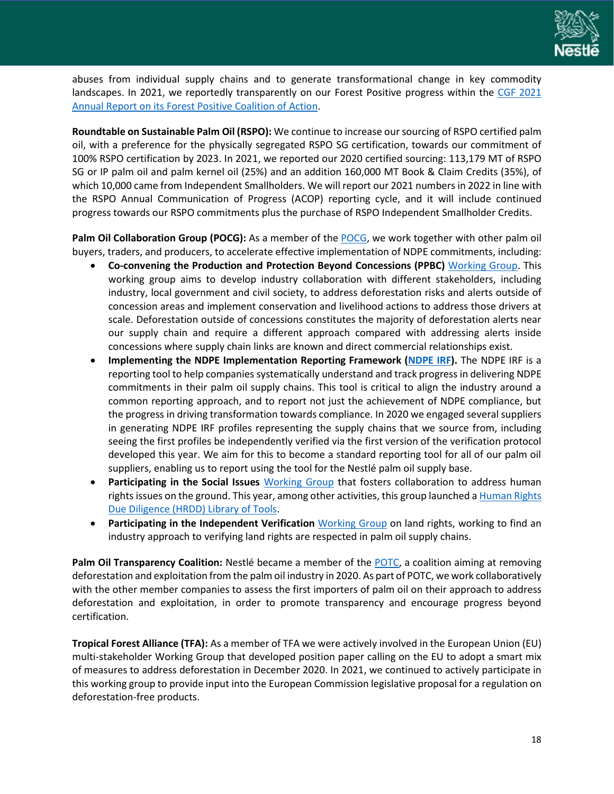

abuses from individual supply chains and to generate transformational change in key commodity landscapes. In 2021, we reportedly transparently on our Forest Positive progress within the CGF 2021 [Annual Report on its Forest Positive Coalition of Action.](https://www.theconsumergoodsforum.com/wp-content/uploads/2021/09/CGF-FPC-Annual-Report-2021.pdf)

**Roundtable on Sustainable Palm Oil (RSPO):** We continue to increase our sourcing of RSPO certified palm oil, with a preference for the physically segregated RSPO SG certification, towards our commitment of 100% RSPO certification by 2023. In 2021, we reported our 2020 certified sourcing: 113,179 MT of RSPO SG or IP palm oil and palm kernel oil (25%) and an addition 160,000 MT Book & Claim Credits (35%), of which 10,000 came from Independent Smallholders. We will report our 2021 numbers in 2022 in line with the RSPO Annual Communication of Progress (ACOP) reporting cycle, and it will include continued progress towards our RSPO commitments plus the purchase of RSPO Independent Smallholder Credits.

**Palm Oil Collaboration Group (POCG):** As a member of the [POCG,](https://palmoilcollaborationgroup.net/) we work together with other palm oil buyers, traders, and producers, to accelerate effective implementation of NDPE commitments, including:

- **Co-convening the Production and Protection Beyond Concessions (PPBC)** [Working Group.](https://palmoilcollaborationgroup.net/ppbc) This working group aims to develop industry collaboration with different stakeholders, including industry, local government and civil society, to address deforestation risks and alerts outside of concession areas and implement conservation and livelihood actions to address those drivers at scale. Deforestation outside of concessions constitutes the majority of deforestation alerts near our supply chain and require a different approach compared with addressing alerts inside concessions where supply chain links are known and direct commercial relationships exist.
- **Implementing the NDPE Implementation Reporting Framework [\(NDPE IRF\)](https://palmoilcollaborationgroup.net/ndpe-irf).** The NDPE IRF is a reporting tool to help companies systematically understand and track progress in delivering NDPE commitments in their palm oil supply chains. This tool is critical to align the industry around a common reporting approach, and to report not just the achievement of NDPE compliance, but the progress in driving transformation towards compliance. In 2020 we engaged several suppliers in generating NDPE IRF profiles representing the supply chains that we source from, including seeing the first profiles be independently verified via the first version of the verification protocol developed this year. We aim for this to become a standard reporting tool for all of our palm oil suppliers, enabling us to report using the tool for the Nestlé palm oil supply base.
- **Participating in the Social Issues** [Working Group](https://palmoilcollaborationgroup.net/social-issues) that fosters collaboration to address human rights issues on the ground. This year, among other activities, this group launched a Human Rights [Due Diligence \(HRDD\) Library of Tools.](https://palmoilcollaborationgroup.net/hrdd-library-of-tools)
- **Participating in the Independent Verification** [Working Group](https://palmoilcollaborationgroup.net/independent-verification) on land rights, working to find an industry approach to verifying land rights are respected in palm oil supply chains.

**Palm Oil Transparency Coalition:** Nestlé became a member of the [POTC,](https://www.palmoiltransparency.org/) a coalition aiming at removing deforestation and exploitation from the palm oil industry in 2020. As part of POTC, we work collaboratively with the other member companies to assess the first importers of palm oil on their approach to address deforestation and exploitation, in order to promote transparency and encourage progress beyond certification.

**Tropical Forest Alliance (TFA):** As a member of TFA we were actively involved in the European Union (EU) multi-stakeholder Working Group that developed [position paper](https://www.tropicalforestalliance.org/en/news-and-events/news/collective-eu-position-paper) calling on the EU to adopt a smart mix of measures to address deforestation in December 2020. In 2021, we continued to actively participate in this working group to provide input into the European Commission legislative proposal for a regulation on deforestation-free products.